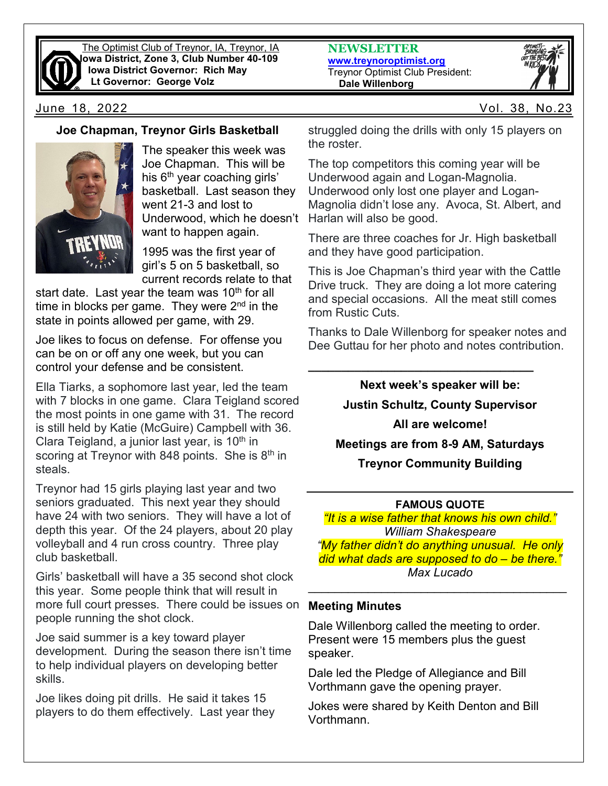

The Optimist Club of Treynor, IA, Treynor, IA **Iowa District, Zone 3, Club Number 40-109 Iowa District Governor: Rich May Lt Governor: George Volz**

# June 18, 2022 Vol. 38, No.23

# **Joe Chapman, Treynor Girls Basketball**



The speaker this week was Joe Chapman. This will be his 6<sup>th</sup> year coaching girls' basketball. Last season they went 21-3 and lost to Underwood, which he doesn't want to happen again.

1995 was the first year of girl's 5 on 5 basketball, so current records relate to that

start date. Last year the team was  $10<sup>th</sup>$  for all time in blocks per game. They were  $2<sup>nd</sup>$  in the state in points allowed per game, with 29.

Joe likes to focus on defense. For offense you can be on or off any one week, but you can control your defense and be consistent.

Ella Tiarks, a sophomore last year, led the team with 7 blocks in one game. Clara Teigland scored the most points in one game with 31. The record is still held by Katie (McGuire) Campbell with 36. Clara Teigland, a junior last year, is  $10<sup>th</sup>$  in scoring at Treynor with 848 points. She is  $8<sup>th</sup>$  in steals.

Treynor had 15 girls playing last year and two seniors graduated. This next year they should have 24 with two seniors. They will have a lot of depth this year. Of the 24 players, about 20 play volleyball and 4 run cross country. Three play club basketball.

Girls' basketball will have a 35 second shot clock this year. Some people think that will result in more full court presses. There could be issues on people running the shot clock.

Joe said summer is a key toward player development. During the season there isn't time to help individual players on developing better skills.

Joe likes doing pit drills. He said it takes 15 players to do them effectively. Last year they **NEWSLETTER [www.treynoroptimist.org](http://www.treynoroptimist.org/)** Treynor Optimist Club President:  **Dale Willenborg**



struggled doing the drills with only 15 players on the roster.

The top competitors this coming year will be Underwood again and Logan-Magnolia. Underwood only lost one player and Logan-Magnolia didn't lose any. Avoca, St. Albert, and Harlan will also be good.

There are three coaches for Jr. High basketball and they have good participation.

This is Joe Chapman's third year with the Cattle Drive truck. They are doing a lot more catering and special occasions. All the meat still comes from Rustic Cuts.

Thanks to Dale Willenborg for speaker notes and Dee Guttau for her photo and notes contribution.

**\_\_\_\_\_\_\_\_\_\_\_\_\_\_\_\_\_\_\_\_\_\_\_\_\_\_\_\_\_\_\_\_\_\_**

**Next week's speaker will be: Justin Schultz, County Supervisor All are welcome! Meetings are from 8-9 AM, Saturdays Treynor Community Building**

## **FAMOUS QUOTE**

*"It is a wise father that knows his own child." William Shakespeare "My father didn't do anything unusual. He only did what dads are supposed to do – be there." Max Lucado*

\_\_\_\_\_\_\_\_\_\_\_\_\_\_\_\_\_\_\_\_\_\_\_\_\_\_\_\_\_\_\_\_\_\_\_\_\_\_\_

## **Meeting Minutes**

Dale Willenborg called the meeting to order. Present were 15 members plus the guest speaker.

Dale led the Pledge of Allegiance and Bill Vorthmann gave the opening prayer.

Jokes were shared by Keith Denton and Bill Vorthmann.